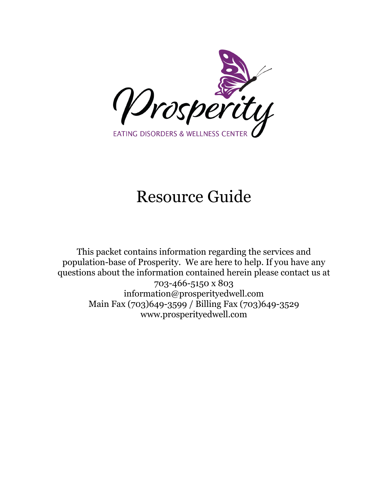

# Resource Guide

This packet contains information regarding the services and population-base of Prosperity. We are here to help. If you have any questions about the information contained herein please contact us at 703-466-5150 x 803 information@prosperityedwell.com Main Fax (703)649-3599 / Billing Fax (703)649-3529 www.prosperityedwell.com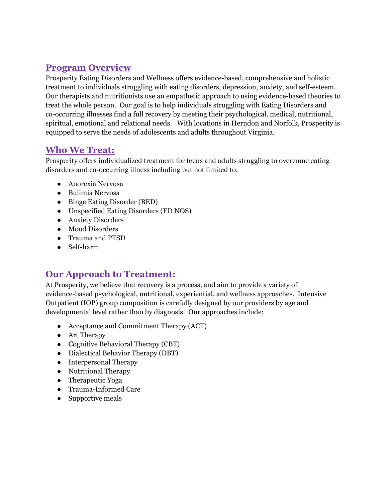# **Program Overview**

Prosperity Eating Disorders and Wellness offers evidence-based, comprehensive and holistic treatment to individuals struggling with eating disorders, depression, anxiety, and self-esteem. Our therapists and nutritionists use an empathetic approach to using evidence-based theories to treat the whole person. Our goal is to help individuals struggling with Eating Disorders and co-occurring illnesses find a full recovery by meeting their psychological, medical, nutritional, spiritual, emotional and relational needs. With locations in Herndon and Norfolk, Prosperity is equipped to serve the needs of adolescents and adults throughout Virginia.

## **Who We Treat:**

Prosperity offers individualized treatment for teens and adults struggling to overcome eating disorders and co-occurring illness including but not limited to:

- Anorexia Nervosa
- Bulimia Nervosa
- Binge Eating Disorder (BED)
- Unspecified Eating Disorders (ED NOS)
- Anxiety Disorders
- Mood Disorders
- Trauma and PTSD
- Self-harm

# **Our Approach to Treatment:**

At Prosperity, we believe that recovery is a process, and aim to provide a variety of evidence-based psychological, nutritional, experiential, and wellness approaches. Intensive Outpatient (IOP) group composition is carefully designed by our providers by age and developmental level rather than by diagnosis. Our approaches include:

- Acceptance and Commitment Therapy (ACT)
- Art Therapy
- Cognitive Behavioral Therapy (CBT)
- Dialectical Behavior Therapy (DBT)
- Interpersonal Therapy
- Nutritional Therapy
- Therapeutic Yoga
- Trauma-Informed Care
- Supportive meals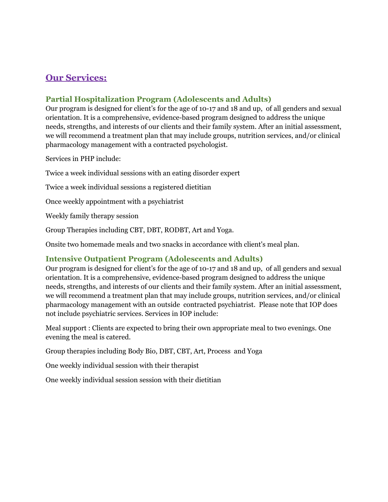# **Our Services:**

### **Partial Hospitalization Program (Adolescents and Adults)**

Our program is designed for client's for the age of 10-17 and 18 and up, of all genders and sexual orientation. It is a comprehensive, evidence-based program designed to address the unique needs, strengths, and interests of our clients and their family system. After an initial assessment, we will recommend a treatment plan that may include groups, nutrition services, and/or clinical pharmacology management with a contracted psychologist.

Services in PHP include:

Twice a week individual sessions with an eating disorder expert

Twice a week individual sessions a registered dietitian

Once weekly appointment with a psychiatrist

Weekly family therapy session

Group Therapies including CBT, DBT, RODBT, Art and Yoga.

Onsite two homemade meals and two snacks in accordance with client's meal plan.

#### **Intensive Outpatient Program (Adolescents and Adults)**

Our program is designed for client's for the age of 10-17 and 18 and up, of all genders and sexual orientation. It is a comprehensive, evidence-based program designed to address the unique needs, strengths, and interests of our clients and their family system. After an initial assessment, we will recommend a treatment plan that may include groups, nutrition services, and/or clinical pharmacology management with an outside contracted psychiatrist. Please note that IOP does not include psychiatric services. Services in IOP include:

Meal support : Clients are expected to bring their own appropriate meal to two evenings. One evening the meal is catered.

Group therapies including Body Bio, DBT, CBT, Art, Process and Yoga

One weekly individual session with their therapist

One weekly individual session session with their dietitian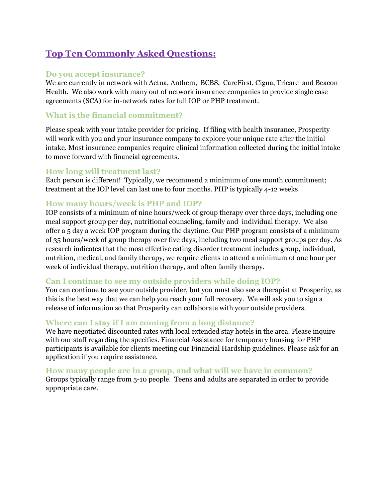# **Top Ten Commonly Asked Questions:**

#### **Do you accept insurance?**

We are currently in network with Aetna, Anthem, BCBS, CareFirst, Cigna, Tricare and Beacon Health. We also work with many out of network insurance companies to provide single case agreements (SCA) for in-network rates for full IOP or PHP treatment.

### **What is the financial commitment?**

Please speak with your intake provider for pricing. If filing with health insurance, Prosperity will work with you and your insurance company to explore your unique rate after the initial intake. Most insurance companies require clinical information collected during the initial intake to move forward with financial agreements.

#### **How long will treatment last?**

Each person is different! Typically, we recommend a minimum of one month commitment; treatment at the IOP level can last one to four months. PHP is typically 4-12 weeks

#### **How many hours/week is PHP and IOP?**

IOP consists of a minimum of nine hours/week of group therapy over three days, including one meal support group per day, nutritional counseling, family and individual therapy. We also offer a 5 day a week IOP program during the daytime. Our PHP program consists of a minimum of 35 hours/week of group therapy over five days, including two meal support groups per day. As research indicates that the most effective eating disorder treatment includes group, individual, nutrition, medical, and family therapy, we require clients to attend a minimum of one hour per week of individual therapy, nutrition therapy, and often family therapy.

#### **Can I continue to see my outside providers while doing IOP?**

You can continue to see your outside provider, but you must also see a therapist at Prosperity, as this is the best way that we can help you reach your full recovery. We will ask you to sign a release of information so that Prosperity can collaborate with your outside providers.

#### **Where can I stay if I am coming from a long distance?**

We have negotiated discounted rates with local extended stay hotels in the area. Please inquire with our staff regarding the specifics. Financial Assistance for temporary housing for PHP participants is available for clients meeting our Financial Hardship guidelines. Please ask for an application if you require assistance.

#### **How many people are in a group, and what will we have in common?**

Groups typically range from 5-10 people. Teens and adults are separated in order to provide appropriate care.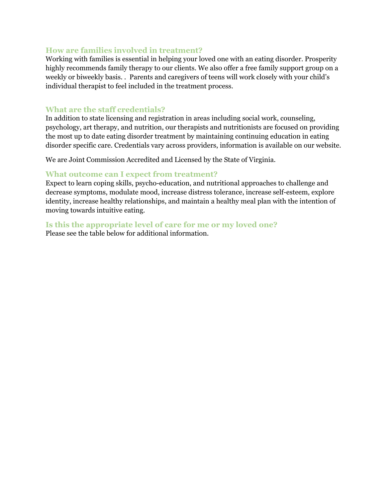### **How are families involved in treatment?**

Working with families is essential in helping your loved one with an eating disorder. Prosperity highly recommends family therapy to our clients. We also offer a free family support group on a weekly or biweekly basis. . Parents and caregivers of teens will work closely with your child's individual therapist to feel included in the treatment process.

### **What are the staff credentials?**

In addition to state licensing and registration in areas including social work, counseling, psychology, art therapy, and nutrition, our therapists and nutritionists are focused on providing the most up to date eating disorder treatment by maintaining continuing education in eating disorder specific care. Credentials vary across providers, information is available on our website.

We are Joint Commission Accredited and Licensed by the State of Virginia.

#### **What outcome can I expect from treatment?**

Expect to learn coping skills, psycho-education, and nutritional approaches to challenge and decrease symptoms, modulate mood, increase distress tolerance, increase self-esteem, explore identity, increase healthy relationships, and maintain a healthy meal plan with the intention of moving towards intuitive eating.

**Is this the appropriate level of care for me or my loved one?** Please see the table below for additional information.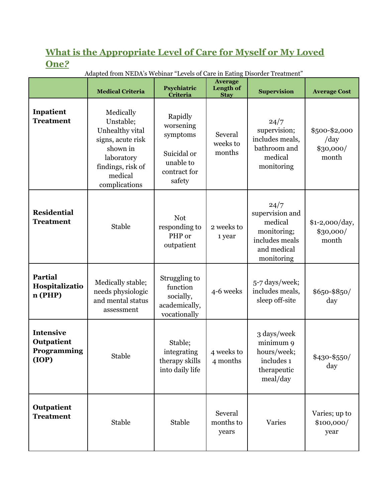# **What is the Appropriate Level of Care for Myself or My Loved One***?*

|                                                        | <b>Medical Criteria</b>                                                                                                                   | Psychiatric<br>Criteria                                                                | <b>Average</b><br>Length of<br><b>Stay</b> | <b>Supervision</b>                                                                               | <b>Average Cost</b>                                                        |
|--------------------------------------------------------|-------------------------------------------------------------------------------------------------------------------------------------------|----------------------------------------------------------------------------------------|--------------------------------------------|--------------------------------------------------------------------------------------------------|----------------------------------------------------------------------------|
| Inpatient<br><b>Treatment</b>                          | Medically<br>Unstable;<br>Unhealthy vital<br>signs, acute risk<br>shown in<br>laboratory<br>findings, risk of<br>medical<br>complications | Rapidly<br>worsening<br>symptoms<br>Suicidal or<br>unable to<br>contract for<br>safety | Several<br>weeks to<br>months              | 24/7<br>supervision;<br>includes meals,<br>bathroom and<br>medical<br>monitoring                 | \$500-\$2,000<br>$\frac{\mathrm{day}}{\mathrm{day}}$<br>\$30,000/<br>month |
| <b>Residential</b><br><b>Treatment</b>                 | <b>Stable</b>                                                                                                                             | <b>Not</b><br>responding to<br>PHP or<br>outpatient                                    | 2 weeks to<br>1 year                       | 24/7<br>supervision and<br>medical<br>monitoring;<br>includes meals<br>and medical<br>monitoring | \$1-2,000/day,<br>\$30,000/<br>month                                       |
| <b>Partial</b><br>Hospitalizatio<br>$n$ (PHP)          | Medically stable;<br>needs physiologic<br>and mental status<br>assessment                                                                 | Struggling to<br>function<br>socially,<br>academically,<br>vocationally                | 4-6 weeks                                  | 5-7 days/week;<br>includes meals,<br>sleep off-site                                              | \$650-\$850/<br>day                                                        |
| <b>Intensive</b><br>Outpatient<br>Programming<br>(IOP) | Stable                                                                                                                                    | Stable;<br>integrating<br>therapy skills<br>into daily life                            | 4 weeks to<br>4 months                     | 3 days/week<br>minimum 9<br>hours/week;<br>includes 1<br>therapeutic<br>meal/day                 | \$430-\$550/<br>day                                                        |
| Outpatient<br><b>Treatment</b>                         | Stable                                                                                                                                    | Stable                                                                                 | Several<br>months to<br>years              | Varies                                                                                           | Varies; up to<br>\$100,000/<br>year                                        |

Adapted from NEDA's Webinar "Levels of Care in Eating Disorder Treatment"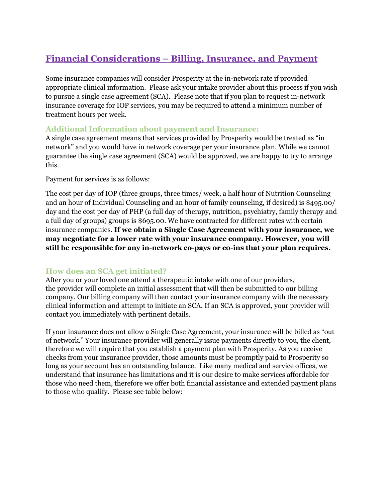# **Financial Considerations – Billing, Insurance, and Payment**

Some insurance companies will consider Prosperity at the in-network rate if provided appropriate clinical information. Please ask your intake provider about this process if you wish to pursue a single case agreement (SCA). Please note that if you plan to request in-network insurance coverage for IOP services, you may be required to attend a minimum number of treatment hours per week.

#### **Additional Information about payment and Insurance:**

A single case agreement means that services provided by Prosperity would be treated as "in network" and you would have in network coverage per your insurance plan. While we cannot guarantee the single case agreement (SCA) would be approved, we are happy to try to arrange this.

Payment for services is as follows:

The cost per day of IOP (three groups, three times/ week, a half hour of Nutrition Counseling and an hour of Individual Counseling and an hour of family counseling, if desired) is \$495.00/ day and the cost per day of PHP (a full day of therapy, nutrition, psychiatry, family therapy and a full day of groups) groups is \$695.00. We have contracted for different rates with certain insurance companies. **If we obtain a Single Case Agreement with your insurance, we may negotiate for a lower rate with your insurance company. However, you will still be responsible for any in-network co-pays or co-ins that your plan requires.**

### **How does an SCA get initiated?**

After you or your loved one attend a therapeutic intake with one of our providers, the provider will complete an initial assessment that will then be submitted to our billing company. Our billing company will then contact your insurance company with the necessary clinical information and attempt to initiate an SCA. If an SCA is approved, your provider will contact you immediately with pertinent details.

If your insurance does not allow a Single Case Agreement, your insurance will be billed as "out of network." Your insurance provider will generally issue payments directly to you, the client, therefore we will require that you establish a payment plan with Prosperity. As you receive checks from your insurance provider, those amounts must be promptly paid to Prosperity so long as your account has an outstanding balance. Like many medical and service offices, we understand that insurance has limitations and it is our desire to make services affordable for those who need them, therefore we offer both financial assistance and extended payment plans to those who qualify. Please see table below: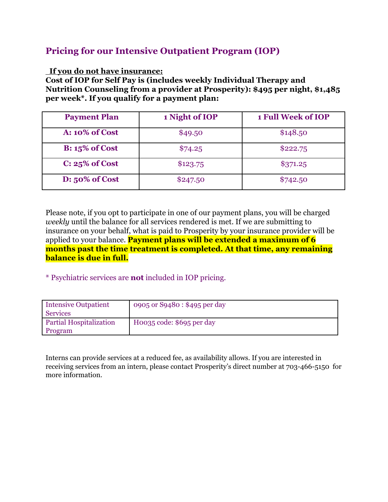# **Pricing for our Intensive Outpatient Program (IOP)**

#### **If you do not have insurance:**

**Cost of IOP for Self Pay is (includes weekly Individual Therapy and Nutrition Counseling from a provider at Prosperity): \$495 per night, \$1,485 per week\*. If you qualify for a payment plan:**

| <b>Payment Plan</b>   | 1 Night of IOP | 1 Full Week of IOP |
|-----------------------|----------------|--------------------|
| <b>A: 10% of Cost</b> | \$49.50        | \$148.50           |
| $B: 15\%$ of Cost     | \$74.25        | \$222.75           |
| $C: 25\%$ of Cost     | \$123.75       | \$371.25           |
| $D: 50\%$ of Cost     | \$247.50       | \$742.50           |

Please note, if you opt to participate in one of our payment plans, you will be charged *weekly* until the balance for all services rendered is met. If we are submitting to insurance on your behalf, what is paid to Prosperity by your insurance provider will be applied to your balance. **Payment plans will be extended a maximum of 6 months past the time treatment is completed. At that time, any remaining balance is due in full.**

\* Psychiatric services are **not** included in IOP pricing.

| <b>Intensive Outpatient</b><br>Services | 0905 or S9480 : \$495 per day |
|-----------------------------------------|-------------------------------|
| <b>Partial Hospitalization</b>          | Hoo35 code: \$695 per day     |
| Program                                 |                               |

Interns can provide services at a reduced fee, as availability allows. If you are interested in receiving services from an intern, please contact Prosperity's direct number at 703-466-5150 for more information.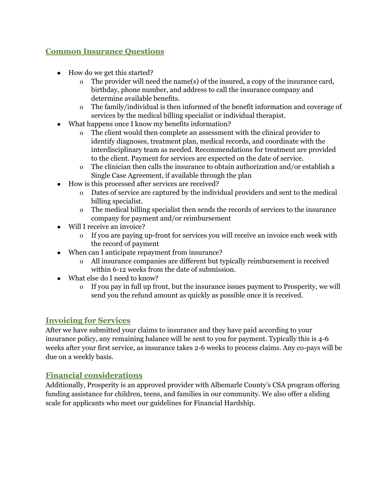### **Common Insurance Questions**

- How do we get this started?
	- o The provider will need the name(s) of the insured, a copy of the insurance card, birthday, phone number, and address to call the insurance company and determine available benefits.
	- o The family/individual is then informed of the benefit information and coverage of services by the medical billing specialist or individual therapist.
- What happens once I know my benefits information?
	- o The client would then complete an assessment with the clinical provider to identify diagnoses, treatment plan, medical records, and coordinate with the interdisciplinary team as needed. Recommendations for treatment are provided to the client. Payment for services are expected on the date of service.
	- o The clinician then calls the insurance to obtain authorization and/or establish a Single Case Agreement, if available through the plan
- How is this processed after services are received?
	- o Dates of service are captured by the individual providers and sent to the medical billing specialist.
	- o The medical billing specialist then sends the records of services to the insurance company for payment and/or reimbursement
- Will I receive an invoice?
	- o If you are paying up-front for services you will receive an invoice each week with the record of payment
- When can I anticipate repayment from insurance?
	- o All insurance companies are different but typically reimbursement is received within 6-12 weeks from the date of submission.
- What else do I need to know?
	- o If you pay in full up front, but the insurance issues payment to Prosperity, we will send you the refund amount as quickly as possible once it is received.

### **Invoicing for Services**

After we have submitted your claims to insurance and they have paid according to your insurance policy, any remaining balance will be sent to you for payment. Typically this is 4-6 weeks after your first service, as insurance takes 2-6 weeks to process claims. Any co-pays will be due on a weekly basis.

### **Financial considerations**

Additionally, Prosperity is an approved provider with Albemarle County's CSA program offering funding assistance for children, teens, and families in our community. We also offer a sliding scale for applicants who meet our guidelines for Financial Hardship.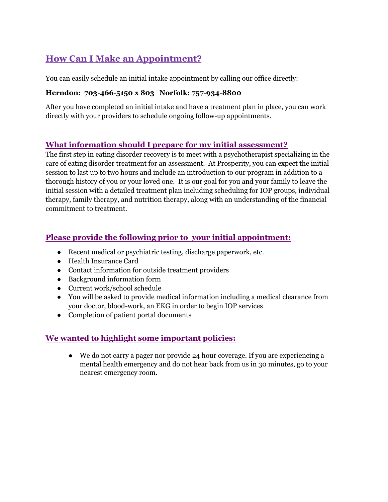# **How Can I Make an Appointment?**

You can easily schedule an initial intake appointment by calling our office directly:

#### **Herndon: 703-466-5150 x 803 Norfolk: 757-934-8800**

After you have completed an initial intake and have a treatment plan in place, you can work directly with your providers to schedule ongoing follow-up appointments.

### **What information should I prepare for my initial assessment?**

The first step in eating disorder recovery is to meet with a psychotherapist specializing in the care of eating disorder treatment for an assessment. At Prosperity, you can expect the initial session to last up to two hours and include an introduction to our program in addition to a thorough history of you or your loved one. It is our goal for you and your family to leave the initial session with a detailed treatment plan including scheduling for IOP groups, individual therapy, family therapy, and nutrition therapy, along with an understanding of the financial commitment to treatment.

### **Please provide the following prior to your initial appointment:**

- Recent medical or psychiatric testing, discharge paperwork, etc.
- Health Insurance Card
- Contact information for outside treatment providers
- Background information form
- Current work/school schedule
- You will be asked to provide medical information including a medical clearance from your doctor, blood-work, an EKG in order to begin IOP services
- Completion of patient portal documents

### **We wanted to highlight some important policies:**

● We do not carry a pager nor provide 24 hour coverage. If you are experiencing a mental health emergency and do not hear back from us in 30 minutes, go to your nearest emergency room.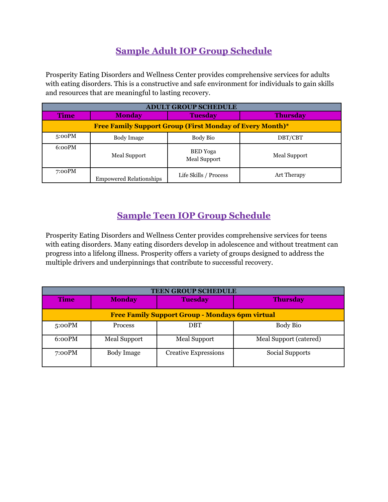# **Sample Adult IOP Group Schedule**

Prosperity Eating Disorders and Wellness Center provides comprehensive services for adults with eating disorders. This is a constructive and safe environment for individuals to gain skills and resources that are meaningful to lasting recovery.

| <b>ADULT GROUP SCHEDULE</b>                              |                                |                                 |                 |
|----------------------------------------------------------|--------------------------------|---------------------------------|-----------------|
| <b>Time</b>                                              | <b>Monday</b>                  | <b>Tuesday</b>                  | <b>Thursday</b> |
| Free Family Support Group (First Monday of Every Month)* |                                |                                 |                 |
| 5:00PM                                                   | Body Image                     | Body Bio                        | DBT/CBT         |
| 6:00PM                                                   | <b>Meal Support</b>            | <b>BED</b> Yoga<br>Meal Support | Meal Support    |
| 7:00PM                                                   | <b>Empowered Relationships</b> | Life Skills / Process           | Art Therapy     |

# **Sample Teen IOP Group Schedule**

Prosperity Eating Disorders and Wellness Center provides comprehensive services for teens with eating disorders. Many eating disorders develop in adolescence and without treatment can progress into a lifelong illness. Prosperity offers a variety of groups designed to address the multiple drivers and underpinnings that contribute to successful recovery.

| <b>TEEN GROUP SCHEDULE</b>                             |                   |                             |                        |  |
|--------------------------------------------------------|-------------------|-----------------------------|------------------------|--|
| <b>Time</b>                                            | <b>Monday</b>     | <b>Tuesday</b>              | <b>Thursday</b>        |  |
| <b>Free Family Support Group - Mondays 6pm virtual</b> |                   |                             |                        |  |
| 5:00PM                                                 | <b>Process</b>    | <b>DBT</b>                  | <b>Body Bio</b>        |  |
| $6:00$ PM                                              | Meal Support      | <b>Meal Support</b>         | Meal Support (catered) |  |
| $7:00$ PM                                              | <b>Body Image</b> | <b>Creative Expressions</b> | Social Supports        |  |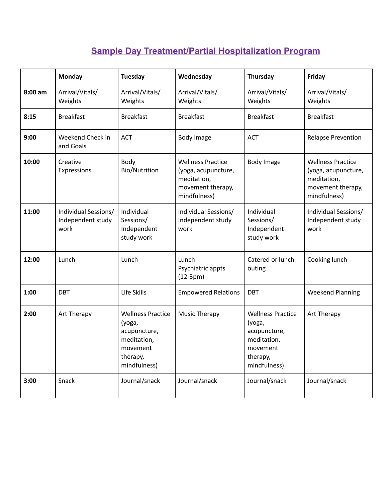# **Sample Day Treatment/Partial Hospitalization Program**

|         | <b>Monday</b>                                     | Tuesday                                                                                                   | Wednesday                                                                                           | Thursday                                                                                                  | Friday                                                                                              |
|---------|---------------------------------------------------|-----------------------------------------------------------------------------------------------------------|-----------------------------------------------------------------------------------------------------|-----------------------------------------------------------------------------------------------------------|-----------------------------------------------------------------------------------------------------|
| 8:00 am | Arrival/Vitals/<br>Weights                        | Arrival/Vitals/<br>Weights                                                                                | Arrival/Vitals/<br>Weights                                                                          | Arrival/Vitals/<br>Weights                                                                                | Arrival/Vitals/<br>Weights                                                                          |
| 8:15    | <b>Breakfast</b>                                  | <b>Breakfast</b>                                                                                          | <b>Breakfast</b>                                                                                    | <b>Breakfast</b>                                                                                          | <b>Breakfast</b>                                                                                    |
| 9:00    | Weekend Check in<br>and Goals                     | <b>ACT</b>                                                                                                | <b>Body Image</b>                                                                                   | <b>ACT</b>                                                                                                | <b>Relapse Prevention</b>                                                                           |
| 10:00   | Creative<br>Expressions                           | Body<br>Bio/Nutrition                                                                                     | <b>Wellness Practice</b><br>(yoga, acupuncture,<br>meditation,<br>movement therapy,<br>mindfulness) | <b>Body Image</b>                                                                                         | <b>Wellness Practice</b><br>(yoga, acupuncture,<br>meditation,<br>movement therapy,<br>mindfulness) |
| 11:00   | Individual Sessions/<br>Independent study<br>work | Individual<br>Sessions/<br>Independent<br>study work                                                      | Individual Sessions/<br>Independent study<br>work                                                   | Individual<br>Sessions/<br>Independent<br>study work                                                      | Individual Sessions/<br>Independent study<br>work                                                   |
| 12:00   | Lunch                                             | Lunch                                                                                                     | Lunch<br>Psychiatric appts<br>$(12-3pm)$                                                            | Catered or lunch<br>outing                                                                                | Cooking lunch                                                                                       |
| 1:00    | <b>DBT</b>                                        | Life Skills                                                                                               | <b>Empowered Relations</b>                                                                          | <b>DBT</b>                                                                                                | <b>Weekend Planning</b>                                                                             |
| 2:00    | Art Therapy                                       | <b>Wellness Practice</b><br>(yoga,<br>acupuncture,<br>meditation,<br>movement<br>therapy,<br>mindfulness) | <b>Music Therapy</b>                                                                                | <b>Wellness Practice</b><br>(yoga,<br>acupuncture,<br>meditation,<br>movement<br>therapy,<br>mindfulness) | Art Therapy                                                                                         |
| 3:00    | Snack                                             | Journal/snack                                                                                             | Journal/snack                                                                                       | Journal/snack                                                                                             | Journal/snack                                                                                       |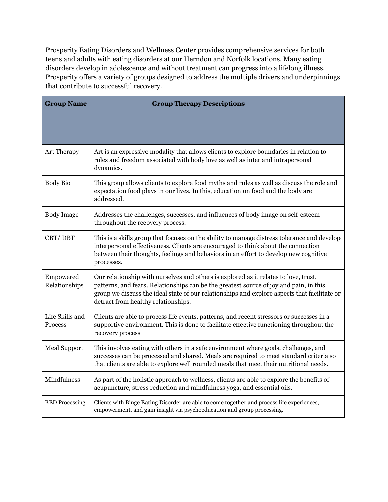Prosperity Eating Disorders and Wellness Center provides comprehensive services for both teens and adults with eating disorders at our Herndon and Norfolk locations. Many eating disorders develop in adolescence and without treatment can progress into a lifelong illness. Prosperity offers a variety of groups designed to address the multiple drivers and underpinnings that contribute to successful recovery.

| <b>Group Name</b>                 | <b>Group Therapy Descriptions</b>                                                                                                                                                                                                                                                                                     |  |  |
|-----------------------------------|-----------------------------------------------------------------------------------------------------------------------------------------------------------------------------------------------------------------------------------------------------------------------------------------------------------------------|--|--|
|                                   |                                                                                                                                                                                                                                                                                                                       |  |  |
| Art Therapy                       | Art is an expressive modality that allows clients to explore boundaries in relation to<br>rules and freedom associated with body love as well as inter and intrapersonal<br>dynamics.                                                                                                                                 |  |  |
| <b>Body Bio</b>                   | This group allows clients to explore food myths and rules as well as discuss the role and<br>expectation food plays in our lives. In this, education on food and the body are<br>addressed.                                                                                                                           |  |  |
| <b>Body Image</b>                 | Addresses the challenges, successes, and influences of body image on self-esteem<br>throughout the recovery process.                                                                                                                                                                                                  |  |  |
| CBT/DBT                           | This is a skills group that focuses on the ability to manage distress tolerance and develop<br>interpersonal effectiveness. Clients are encouraged to think about the connection<br>between their thoughts, feelings and behaviors in an effort to develop new cognitive<br>processes.                                |  |  |
| Empowered<br>Relationships        | Our relationship with ourselves and others is explored as it relates to love, trust,<br>patterns, and fears. Relationships can be the greatest source of joy and pain, in this<br>group we discuss the ideal state of our relationships and explore aspects that facilitate or<br>detract from healthy relationships. |  |  |
| Life Skills and<br><b>Process</b> | Clients are able to process life events, patterns, and recent stressors or successes in a<br>supportive environment. This is done to facilitate effective functioning throughout the<br>recovery process                                                                                                              |  |  |
| <b>Meal Support</b>               | This involves eating with others in a safe environment where goals, challenges, and<br>successes can be processed and shared. Meals are required to meet standard criteria so<br>that clients are able to explore well rounded meals that meet their nutritional needs.                                               |  |  |
| Mindfulness                       | As part of the holistic approach to wellness, clients are able to explore the benefits of<br>acupuncture, stress reduction and mindfulness yoga, and essential oils.                                                                                                                                                  |  |  |
| <b>BED Processing</b>             | Clients with Binge Eating Disorder are able to come together and process life experiences,<br>empowerment, and gain insight via psychoeducation and group processing.                                                                                                                                                 |  |  |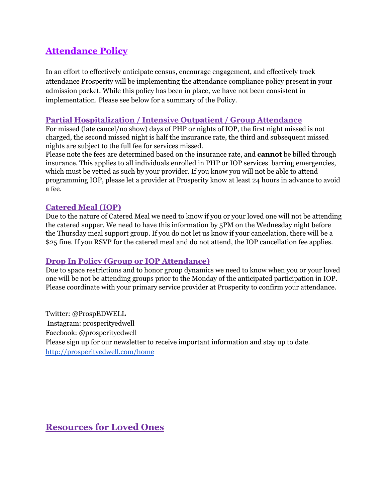# **Attendance Policy**

In an effort to effectively anticipate census, encourage engagement, and effectively track attendance Prosperity will be implementing the attendance compliance policy present in your admission packet. While this policy has been in place, we have not been consistent in implementation. Please see below for a summary of the Policy.

### **Partial Hospitalization / Intensive Outpatient / Group Attendance**

For missed (late cancel/no show) days of PHP or nights of IOP, the first night missed is not charged, the second missed night is half the insurance rate, the third and subsequent missed nights are subject to the full fee for services missed.

Please note the fees are determined based on the insurance rate, and **cannot** be billed through insurance. This applies to all individuals enrolled in PHP or IOP services barring emergencies, which must be vetted as such by your provider. If you know you will not be able to attend programming IOP, please let a provider at Prosperity know at least 24 hours in advance to avoid a fee.

### **Catered Meal (IOP)**

Due to the nature of Catered Meal we need to know if you or your loved one will not be attending the catered supper. We need to have this information by 5PM on the Wednesday night before the Thursday meal support group. If you do not let us know if your cancelation, there will be a \$25 fine. If you RSVP for the catered meal and do not attend, the IOP cancellation fee applies.

### **Drop In Policy (Group or IOP Attendance)**

Due to space restrictions and to honor group dynamics we need to know when you or your loved one will be not be attending groups prior to the Monday of the anticipated participation in IOP. Please coordinate with your primary service provider at Prosperity to confirm your attendance.

Twitter: @ProspEDWELL Instagram: prosperityedwell Facebook: @prosperityedwell Please sign up for our newsletter to receive important information and stay up to date. <http://prosperityedwell.com/home>

**Resources for Loved Ones**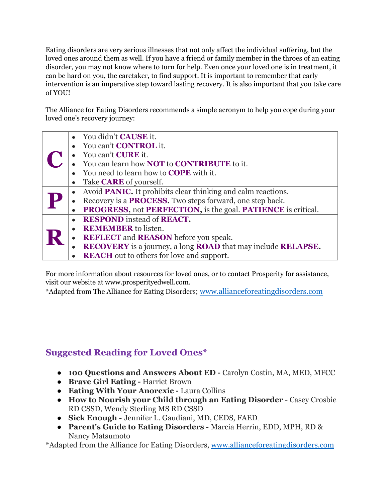Eating disorders are very serious illnesses that not only affect the individual suffering, but the loved ones around them as well. If you have a friend or family member in the throes of an eating disorder, you may not know where to turn for help. Even once your loved one is in treatment, it can be hard on you, the caretaker, to find support. It is important to remember that early intervention is an imperative step toward lasting recovery. It is also important that you take care of YOU!

The Alliance for Eating Disorders recommends a simple acronym to help you cope during your loved one's recovery journey:

|  | • You didn't CAUSE it.                                                             |
|--|------------------------------------------------------------------------------------|
|  | • You can't <b>CONTROL</b> it.                                                     |
|  | • You can't <b>CURE</b> it.                                                        |
|  | You can learn how <b>NOT</b> to <b>CONTRIBUTE</b> to it.                           |
|  | You need to learn how to <b>COPE</b> with it.                                      |
|  | Take <b>CARE</b> of yourself.                                                      |
|  | Avoid <b>PANIC.</b> It prohibits clear thinking and calm reactions.                |
|  | Recovery is a <b>PROCESS.</b> Two steps forward, one step back.                    |
|  | <b>PROGRESS, not PERFECTION, is the goal. PATIENCE is critical.</b><br>$\bullet$   |
|  | <b>RESPOND</b> instead of <b>REACT</b> .                                           |
|  | <b>REMEMBER</b> to listen.                                                         |
|  | <b>REFLECT</b> and <b>REASON</b> before you speak.<br>$\bullet$                    |
|  | <b>RECOVERY</b> is a journey, a long <b>ROAD</b> that may include <b>RELAPSE</b> . |
|  | <b>REACH</b> out to others for love and support.                                   |

For more information about resources for loved ones, or to contact Prosperity for assistance, visit our website at www.prosperityedwell.com.

\*Adapted from The Alliance for Eating Disorders; [www.allianceforeatingdisorders.com](http://www.allianceforeatingdisorders.com)

# **Suggested Reading for Loved Ones\***

- **100 Questions and Answers About ED -** Carolyn Costin, MA, MED, MFCC
- **Brave Girl Eating -** Harriet Brown
- **Eating With Your Anorexic -** Laura Collins
- **How to Nourish your Child through an Eating Disorder** [Casey Crosbie](https://www.amazon.com/s/ref=dp_byline_sr_book_1?ie=UTF8&field-author=Casey+Crosbie+RD++CSSD&text=Casey+Crosbie+RD++CSSD&sort=relevancerank&search-alias=books) [RD CSSD](https://www.amazon.com/s/ref=dp_byline_sr_book_1?ie=UTF8&field-author=Casey+Crosbie+RD++CSSD&text=Casey+Crosbie+RD++CSSD&sort=relevancerank&search-alias=books), [Wendy Sterling MS RD CSSD](https://www.amazon.com/s/ref=dp_byline_sr_book_2?ie=UTF8&field-author=Wendy+Sterling+MS++RD++CSSD&text=Wendy+Sterling+MS++RD++CSSD&sort=relevancerank&search-alias=books)
- **Sick Enough -** Jennifer L. Gaudiani, MD, CEDS, FAED.
- **Parent's Guide to Eating Disorders -** Marcia Herrin, EDD, MPH, RD & Nancy Matsumoto

\*Adapted from the Alliance for Eating Disorders, [www.allianceforeatingdisorders.com](http://www.allianceforeatingdisorders.com)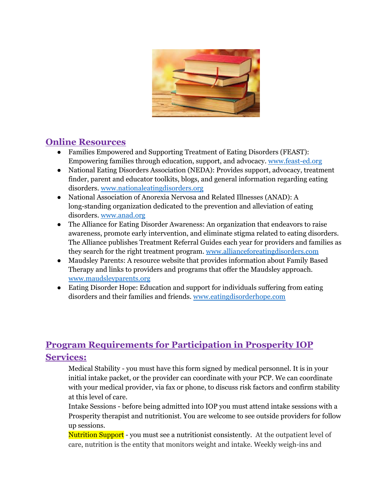

# **Online Resources**

- Families Empowered and Supporting Treatment of Eating Disorders (FEAST): Empowering families through education, support, and advocacy. [www.feast-ed.org](http://www.feast-ed.org)
- National Eating Disorders Association (NEDA): Provides support, advocacy, treatment finder, parent and educator toolkits, blogs, and general information regarding eating disorders. [www.nationaleatingdisorders.org](http://www.nationaleatingdisorders.org)
- National Association of Anorexia Nervosa and Related Illnesses (ANAD): A long-standing organization dedicated to the prevention and alleviation of eating disorders. [www.anad.org](http://www.anad.org)
- The Alliance for Eating Disorder Awareness: An organization that endeavors to raise awareness, promote early intervention, and eliminate stigma related to eating disorders. The Alliance publishes Treatment Referral Guides each year for providers and families as they search for the right treatment program. [www.allianceforeatingdisorders.com](http://www.allianceforeatingdisorders.com)
- Maudsley Parents: A resource website that provides information about Family Based Therapy and links to providers and programs that offer the Maudsley approach. [www.maudsleyparents.org](http://www.maudsleyparents.org)
- Eating Disorder Hope: Education and support for individuals suffering from eating disorders and their families and friends. [www.eatingdisorderhope.com](http://www.eatingdisorderhope.com)

# **Program Requirements for Participation in Prosperity IOP Services:**

Medical Stability - you must have this form signed by medical personnel. It is in your initial intake packet, or the provider can coordinate with your PCP. We can coordinate with your medical provider, via fax or phone, to discuss risk factors and confirm stability at this level of care.

Intake Sessions - before being admitted into IOP you must attend intake sessions with a Prosperity therapist and nutritionist. You are welcome to see outside providers for follow up sessions.

**Nutrition Support** - you must see a nutritionist consistently. At the outpatient level of care, nutrition is the entity that monitors weight and intake. Weekly weigh-ins and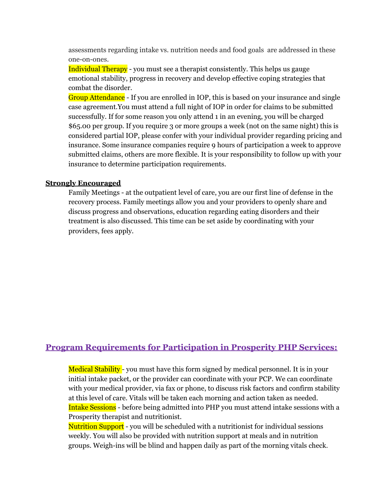assessments regarding intake vs. nutrition needs and food goals are addressed in these one-on-ones.

Individual Therapy - you must see a therapist consistently. This helps us gauge emotional stability, progress in recovery and develop effective coping strategies that combat the disorder.

Group Attendance - If you are enrolled in IOP, this is based on your insurance and single case agreement.You must attend a full night of IOP in order for claims to be submitted successfully. If for some reason you only attend 1 in an evening, you will be charged \$65.00 per group. If you require 3 or more groups a week (not on the same night) this is considered partial IOP, please confer with your individual provider regarding pricing and insurance. Some insurance companies require 9 hours of participation a week to approve submitted claims, others are more flexible. It is your responsibility to follow up with your insurance to determine participation requirements.

#### **Strongly Encouraged**

Family Meetings - at the outpatient level of care, you are our first line of defense in the recovery process. Family meetings allow you and your providers to openly share and discuss progress and observations, education regarding eating disorders and their treatment is also discussed. This time can be set aside by coordinating with your providers, fees apply.

### **Program Requirements for Participation in Prosperity PHP Services:**

Medical Stability - you must have this form signed by medical personnel. It is in your initial intake packet, or the provider can coordinate with your PCP. We can coordinate with your medical provider, via fax or phone, to discuss risk factors and confirm stability at this level of care. Vitals will be taken each morning and action taken as needed. Intake Sessions - before being admitted into PHP you must attend intake sessions with a Prosperity therapist and nutritionist.

Nutrition Support - you will be scheduled with a nutritionist for individual sessions weekly. You will also be provided with nutrition support at meals and in nutrition groups. Weigh-ins will be blind and happen daily as part of the morning vitals check.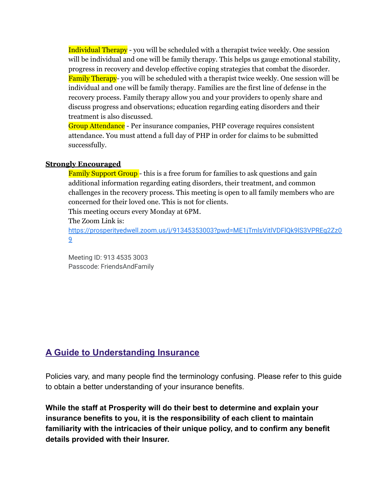Individual Therapy - you will be scheduled with a therapist twice weekly. One session will be individual and one will be family therapy. This helps us gauge emotional stability, progress in recovery and develop effective coping strategies that combat the disorder. Family Therapy- you will be scheduled with a therapist twice weekly. One session will be individual and one will be family therapy. Families are the first line of defense in the recovery process. Family therapy allow you and your providers to openly share and discuss progress and observations; education regarding eating disorders and their treatment is also discussed.

Group Attendance - Per insurance companies, PHP coverage requires consistent attendance. You must attend a full day of PHP in order for claims to be submitted successfully.

#### **Strongly Encouraged**

**Family Support Group** - this is a free forum for families to ask questions and gain additional information regarding eating disorders, their treatment, and common challenges in the recovery process. This meeting is open to all family members who are concerned for their loved one. This is not for clients.

This meeting occurs every Monday at 6PM.

The Zoom Link is:

[https://prosperityedwell.zoom.us/j/91345353003?pwd=ME1jTmlsVitlVDFlQk9lS3VPREg2Zz0](https://prosperityedwell.zoom.us/j/91345353003?pwd=ME1jTmlsVitlVDFlQk9lS3VPREg2Zz09) [9](https://prosperityedwell.zoom.us/j/91345353003?pwd=ME1jTmlsVitlVDFlQk9lS3VPREg2Zz09)

Meeting ID: 913 4535 3003 Passcode: FriendsAndFamily

## **A Guide to Understanding Insurance**

Policies vary, and many people find the terminology confusing. Please refer to this guide to obtain a better understanding of your insurance benefits.

**While the staff at Prosperity will do their best to determine and explain your insurance benefits to you, it is the responsibility of each client to maintain familiarity with the intricacies of their unique policy, and to confirm any benefit details provided with their Insurer.**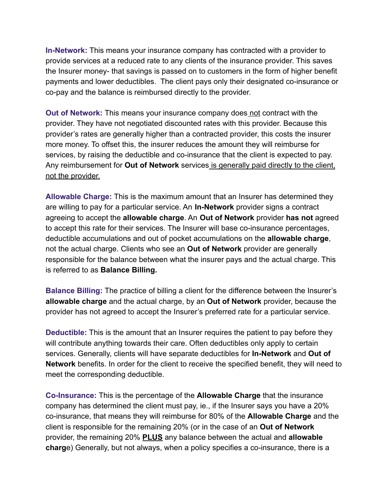**In-Network:** This means your insurance company has contracted with a provider to provide services at a reduced rate to any clients of the insurance provider. This saves the Insurer money- that savings is passed on to customers in the form of higher benefit payments and lower deductibles. The client pays only their designated co-insurance or co-pay and the balance is reimbursed directly to the provider.

**Out of Network:** This means your insurance company does not contract with the provider. They have not negotiated discounted rates with this provider. Because this provider's rates are generally higher than a contracted provider, this costs the insurer more money. To offset this, the insurer reduces the amount they will reimburse for services, by raising the deductible and co-insurance that the client is expected to pay. Any reimbursement for **Out of Network** services is generally paid directly to the client, not the provider.

**Allowable Charge:** This is the maximum amount that an Insurer has determined they are willing to pay for a particular service. An **In-Network** provider signs a contract agreeing to accept the **allowable charge**. An **Out of Network** provider **has not** agreed to accept this rate for their services. The Insurer will base co-insurance percentages, deductible accumulations and out of pocket accumulations on the **allowable charge**, not the actual charge. Clients who see an **Out of Network** provider are generally responsible for the balance between what the insurer pays and the actual charge. This is referred to as **Balance Billing.**

**Balance Billing:** The practice of billing a client for the difference between the Insurer's **allowable charge** and the actual charge, by an **Out of Network** provider, because the provider has not agreed to accept the Insurer's preferred rate for a particular service.

**Deductible:** This is the amount that an Insurer requires the patient to pay before they will contribute anything towards their care. Often deductibles only apply to certain services. Generally, clients will have separate deductibles for **In-Network** and **Out of Network** benefits. In order for the client to receive the specified benefit, they will need to meet the corresponding deductible.

**Co-Insurance:** This is the percentage of the **Allowable Charge** that the insurance company has determined the client must pay, ie., if the Insurer says you have a 20% co-insurance, that means they will reimburse for 80% of the **Allowable Charge** and the client is responsible for the remaining 20% (or in the case of an **Out of Network** provider, the remaining 20% **PLUS** any balance between the actual and **allowable charg**e) Generally, but not always, when a policy specifies a co-insurance, there is a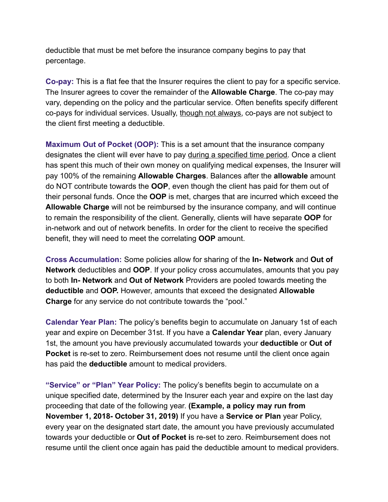deductible that must be met before the insurance company begins to pay that percentage.

**Co-pay:** This is a flat fee that the Insurer requires the client to pay for a specific service. The Insurer agrees to cover the remainder of the **Allowable Charge**. The co-pay may vary, depending on the policy and the particular service. Often benefits specify different co-pays for individual services. Usually, though not always, co-pays are not subject to the client first meeting a deductible.

**Maximum Out of Pocket (OOP):** This is a set amount that the insurance company designates the client will ever have to pay during a specified time period. Once a client has spent this much of their own money on qualifying medical expenses, the Insurer will pay 100% of the remaining **Allowable Charges**. Balances after the **allowable** amount do NOT contribute towards the **OOP**, even though the client has paid for them out of their personal funds. Once the **OOP** is met, charges that are incurred which exceed the **Allowable Charge** will not be reimbursed by the insurance company, and will continue to remain the responsibility of the client. Generally, clients will have separate **OOP** for in-network and out of network benefits. In order for the client to receive the specified benefit, they will need to meet the correlating **OOP** amount.

**Cross Accumulation:** Some policies allow for sharing of the **In- Network** and **Out of Network** deductibles and **OOP**. If your policy cross accumulates, amounts that you pay to both **In- Network** and **Out of Network** Providers are pooled towards meeting the **deductible** and **OOP.** However, amounts that exceed the designated **Allowable Charge** for any service do not contribute towards the "pool."

**Calendar Year Plan:** The policy's benefits begin to accumulate on January 1st of each year and expire on December 31st. If you have a **Calendar Year** plan, every January 1st, the amount you have previously accumulated towards your **deductible** or **Out of Pocket** is re-set to zero. Reimbursement does not resume until the client once again has paid the **deductible** amount to medical providers.

**"Service" or "Plan" Year Policy:** The policy's benefits begin to accumulate on a unique specified date, determined by the Insurer each year and expire on the last day proceeding that date of the following year. **(Example, a policy may run from November 1, 2018- October 31, 2019)** If you have a **Service or Plan** year Policy, every year on the designated start date, the amount you have previously accumulated towards your deductible or **Out of Pocket i**s re-set to zero. Reimbursement does not resume until the client once again has paid the deductible amount to medical providers.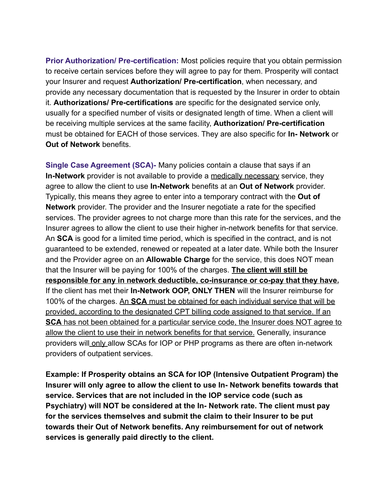**Prior Authorization/ Pre-certification:** Most policies require that you obtain permission to receive certain services before they will agree to pay for them. Prosperity will contact your Insurer and request **Authorization/ Pre-certification**, when necessary, and provide any necessary documentation that is requested by the Insurer in order to obtain it. **Authorizations/ Pre-certifications** are specific for the designated service only, usually for a specified number of visits or designated length of time. When a client will be receiving multiple services at the same facility, **Authorization/ Pre-certification** must be obtained for EACH of those services. They are also specific for **In- Network** or **Out of Network** benefits.

**Single Case Agreement (SCA)-** Many policies contain a clause that says if an **In-Network** provider is not available to provide a medically necessary service, they agree to allow the client to use **In-Network** benefits at an **Out of Network** provider. Typically, this means they agree to enter into a temporary contract with the **Out of Network** provider. The provider and the Insurer negotiate a rate for the specified services. The provider agrees to not charge more than this rate for the services, and the Insurer agrees to allow the client to use their higher in-network benefits for that service. An **SCA** is good for a limited time period, which is specified in the contract, and is not guaranteed to be extended, renewed or repeated at a later date. While both the Insurer and the Provider agree on an **Allowable Charge** for the service, this does NOT mean that the Insurer will be paying for 100% of the charges. **The client will still be responsible for any in network deductible, co-insurance or co-pay that they have.** If the client has met their **In-Network OOP, ONLY THEN** will the Insurer reimburse for 100% of the charges. An **SCA** must be obtained for each individual service that will be provided, according to the designated CPT billing code assigned to that service. If an **SCA** has not been obtained for a particular service code, the Insurer does NOT agree to allow the client to use their in network benefits for that service. Generally, insurance providers will only allow SCAs for IOP or PHP programs as there are often in-network providers of outpatient services.

**Example: If Prosperity obtains an SCA for IOP (Intensive Outpatient Program) the Insurer will only agree to allow the client to use In- Network benefits towards that service. Services that are not included in the IOP service code (such as Psychiatry) will NOT be considered at the In- Network rate. The client must pay for the services themselves and submit the claim to their Insurer to be put towards their Out of Network benefits. Any reimbursement for out of network services is generally paid directly to the client.**